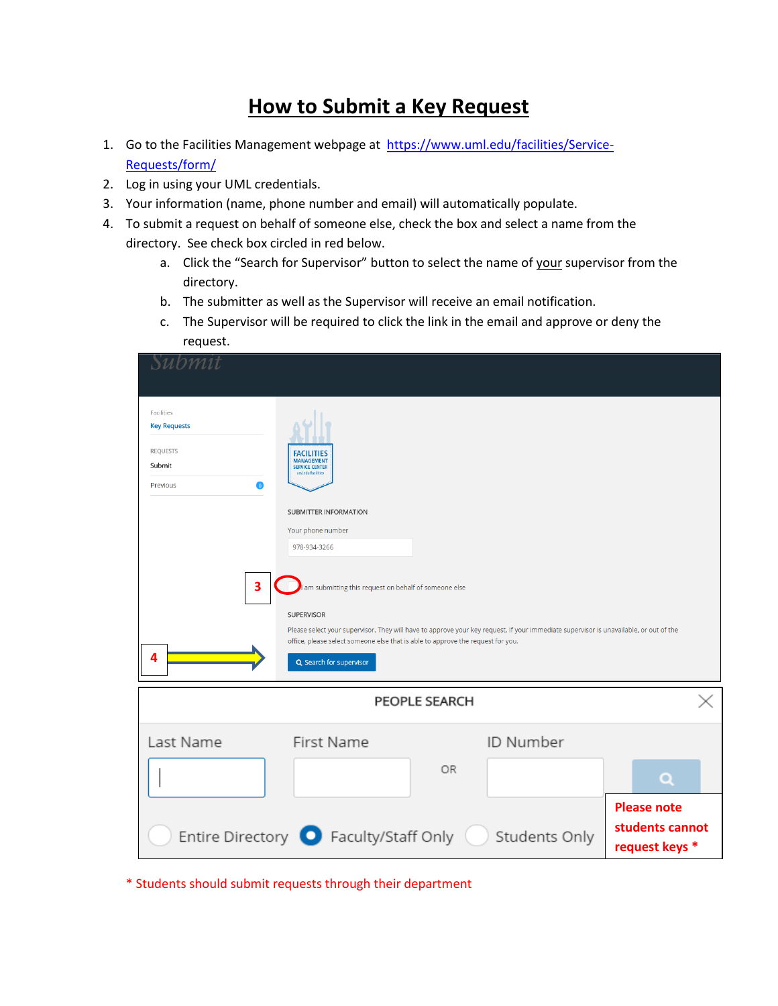## **How to Submit a Key Request**

- 1. Go to the Facilities Management webpage at [https://www.uml.edu/facilities/Service-](https://www.uml.edu/facilities/Service-Requests/form/)Requests/form/
- 2. Log in using your UML credentials.
- 3. Your information (name, phone number and email) will automatically populate.
- 4. To submit a request on behalf of someone else, check the box and select a name from the directory. See check box circled in red below.
	- a. Click the "Search for Supervisor" button to select the name of your supervisor from the directory.
	- b. The submitter as well as the Supervisor will receive an email notification.
	- c. The Supervisor will be required to click the link in the email and approve or deny the request.

| Submit                                                                                         |                                                                                                                                                                                                                              |               |                                                                                                                                       |                                                         |
|------------------------------------------------------------------------------------------------|------------------------------------------------------------------------------------------------------------------------------------------------------------------------------------------------------------------------------|---------------|---------------------------------------------------------------------------------------------------------------------------------------|---------------------------------------------------------|
| <b>Facilities</b><br><b>Key Requests</b><br><b>REQUESTS</b><br>Submit<br>$\bullet$<br>Previous | <b>FACILITIES</b><br><b>MANAGEMENT</b><br><b>SERVICE CENTER</b><br>uml.edu/facilities<br>SUBMITTER INFORMATION                                                                                                               |               |                                                                                                                                       |                                                         |
| 3<br>$\boldsymbol{A}$                                                                          | Your phone number<br>978-934-3266<br>am submitting this request on behalf of someone else<br><b>SUPERVISOR</b><br>office, please select someone else that is able to approve the request for you.<br>Q Search for supervisor |               | Please select your supervisor. They will have to approve your key request. If your immediate supervisor is unavailable, or out of the |                                                         |
|                                                                                                |                                                                                                                                                                                                                              | PEOPLE SEARCH |                                                                                                                                       |                                                         |
| Last Name                                                                                      | First Name                                                                                                                                                                                                                   | 0R            | ID Number                                                                                                                             | Q                                                       |
|                                                                                                | Entire Directory <b>O</b> Faculty/Staff Only                                                                                                                                                                                 |               | Students Only                                                                                                                         | <b>Please note</b><br>students cannot<br>request keys * |

\* Students should submit requests through their department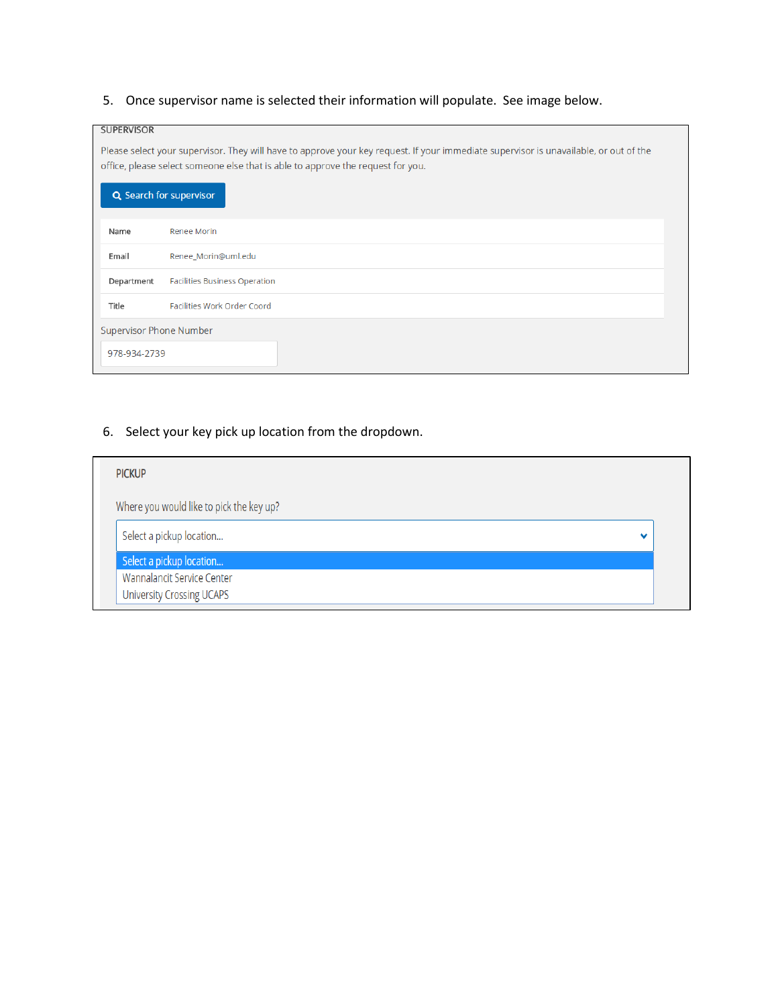## 5. Once supervisor name is selected their information will populate. See image below.

| <b>SUPERVISOR</b>              |                                                                                                                                                                                                                          |  |  |
|--------------------------------|--------------------------------------------------------------------------------------------------------------------------------------------------------------------------------------------------------------------------|--|--|
|                                | Please select your supervisor. They will have to approve your key request. If your immediate supervisor is unavailable, or out of the<br>office, please select someone else that is able to approve the request for you. |  |  |
|                                | Q Search for supervisor                                                                                                                                                                                                  |  |  |
| Name                           | Renee Morin                                                                                                                                                                                                              |  |  |
| Email                          | Renee_Morin@uml.edu                                                                                                                                                                                                      |  |  |
| Department                     | <b>Facilities Business Operation</b>                                                                                                                                                                                     |  |  |
| Title                          | Facilities Work Order Coord                                                                                                                                                                                              |  |  |
| <b>Supervisor Phone Number</b> |                                                                                                                                                                                                                          |  |  |
| 978-934-2739                   |                                                                                                                                                                                                                          |  |  |

## 6. Select your key pick up location from the dropdown.

| <b>PICKUP</b>                            |   |
|------------------------------------------|---|
| Where you would like to pick the key up? |   |
| Select a pickup location                 | v |
| Select a pickup location                 |   |
| Wannalancit Service Center               |   |
| <b>University Crossing UCAPS</b>         |   |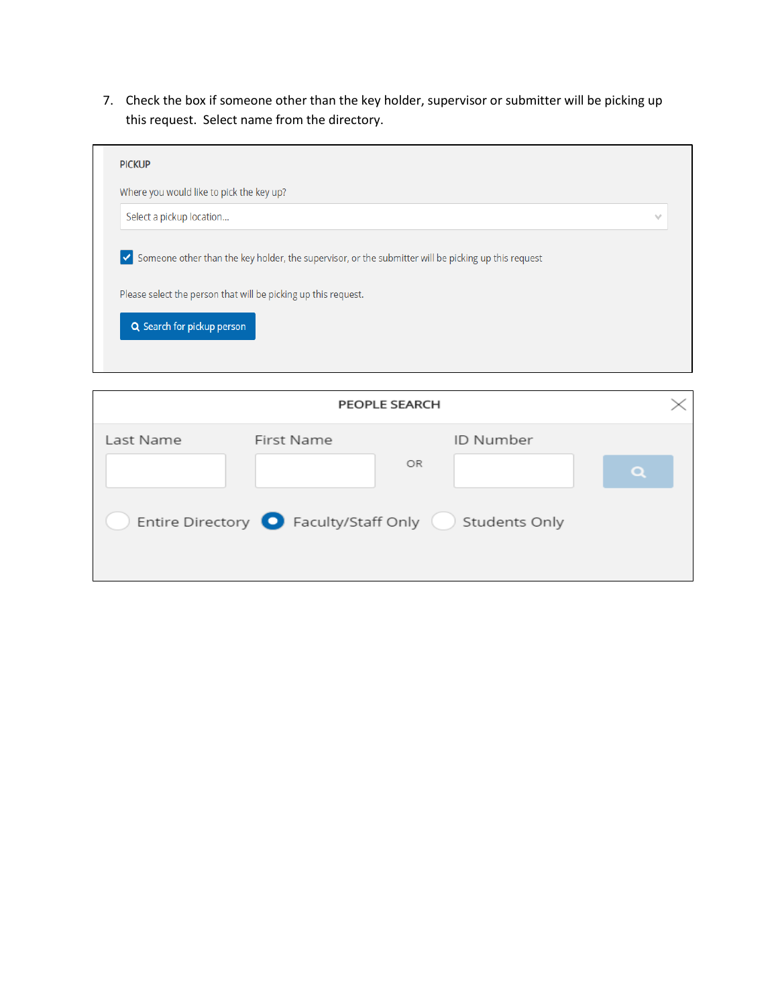7. Check the box if someone other than the key holder, supervisor or submitter will be picking up this request. Select name from the directory.

| Where you would like to pick the key up?                                                                                                                                                              |              |
|-------------------------------------------------------------------------------------------------------------------------------------------------------------------------------------------------------|--------------|
| Select a pickup location                                                                                                                                                                              | $\checkmark$ |
|                                                                                                                                                                                                       |              |
|                                                                                                                                                                                                       |              |
| √ Someone other than the key holder, the supervisor, or the submitter will be picking up this request<br>Please select the person that will be picking up this request.<br>Q Search for pickup person |              |

|           |                                                            | PEOPLE SEARCH |           |  |
|-----------|------------------------------------------------------------|---------------|-----------|--|
| Last Name | First Name                                                 |               | ID Number |  |
|           |                                                            | OR            |           |  |
|           | Entire Directory <b>O</b> Faculty/Staff Only Students Only |               |           |  |